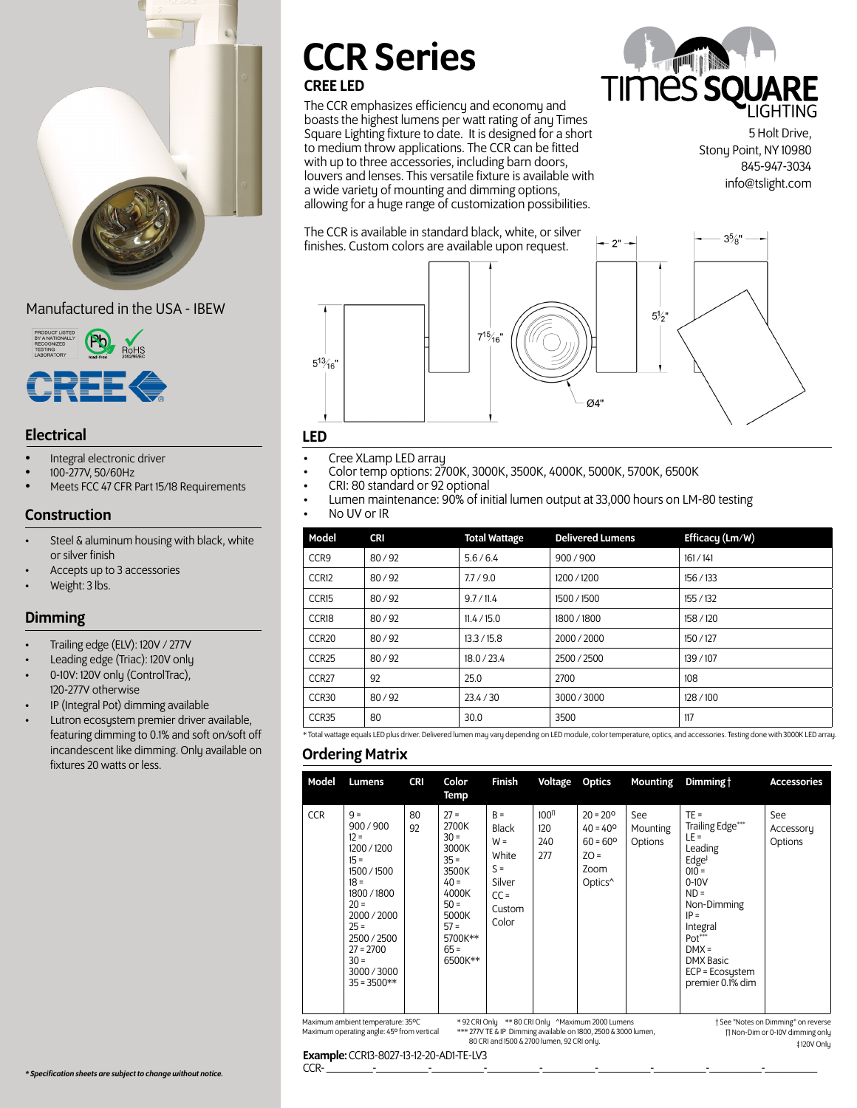

## Manufactured in the USA - IBEW



# Electrical LED

- Integral electronic driver
- 100-277V, 50/60Hz
- Meets FCC 47 CFR Part 15/18 Requirements

#### Construction

- Steel & aluminum housing with black, white or silver finish
- Accepts up to 3 accessories
- Weight: 3 lbs.

# Dimming

- Trailing edge (ELV): 120V / 277V
- Leading edge (Triac): 120V only
- 0-10V: 120V only (ControlTrac), 120-277V otherwise
- IP (Integral Pot) dimming available
- Lutron ecosystem premier driver available, featuring dimming to 0.1% and soft on/soft off incandescent like dimming. Only available on fixtures 20 watts or less.

# CCR Series

# CREE LED

The CCR emphasizes efficiency and economy and boasts the highest lumens per watt rating of any Times Square Lighting fixture to date. It is designed for a short to medium throw applications. The CCR can be fitted with up to three accessories, including barn doors, louvers and lenses. This versatile fixture is available with a wide variety of mounting and dimming options, allowing for a huge range of customization possibilities.

The CCR is available in standard black, white, or silver



5 Holt Drive, Stony Point, NY 10980 845-947-3034 info@tslight.com



- Cree XLamp LED array
- Color temp options: 2700K, 3000K, 3500K, 4000K, 5000K, 5700K, 6500K
- CRI: 80 standard or 92 optional
- Lumen maintenance: 90% of initial lumen output at 33,000 hours on LM-80 testing
	- No UV or IR

| Model             | <b>CRI</b> | <b>Total Wattage</b> | <b>Delivered Lumens</b> | Efficacy (Lm/W) |
|-------------------|------------|----------------------|-------------------------|-----------------|
| CCR <sub>9</sub>  | 80/92      | 5.6/6.4              | 900/900                 | 161/141         |
| CCR <sub>12</sub> | 80/92      | 7.7/9.0              | 1200/1200               | 156/133         |
| CCR <sub>15</sub> | 80/92      | 9.7 / 11.4           | 1500 / 1500             | 155 / 132       |
| CCR18             | 80/92      | 11.4 / 15.0          | 1800 / 1800             | 158 / 120       |
| CCR <sub>20</sub> | 80/92      | 13.3 / 15.8          | 2000 / 2000             | 150/127         |
| CCR <sub>25</sub> | 80/92      | 18.0 / 23.4          | 2500 / 2500             | 139 / 107       |
| CCR <sub>27</sub> | 92         | 25.0                 | 2700                    | 108             |
| CCR30             | 80/92      | 23.4 / 30            | 3000/3000               | 128/100         |
| CCR35             | 80         | 30.0                 | 3500                    | 117             |

\* Total wattage equals LED plus driver. Delivered lumen may vary depending on LED module, color temperature, optics, and accessories. Testing done with 3000K LED array.

#### Ordering Matrix

| Model      | Lumens                                                                                                                                                                                                                                                                                                                                       | <b>CRI</b> | Color<br>Temp                                                                                                                         | <b>Finish</b>                                                                           | Voltage                               | <b>Optics</b>                                                                                        | <b>Mounting</b>            | Dimming t                                                                                                                                                                                                                            | <b>Accessories</b>          |
|------------|----------------------------------------------------------------------------------------------------------------------------------------------------------------------------------------------------------------------------------------------------------------------------------------------------------------------------------------------|------------|---------------------------------------------------------------------------------------------------------------------------------------|-----------------------------------------------------------------------------------------|---------------------------------------|------------------------------------------------------------------------------------------------------|----------------------------|--------------------------------------------------------------------------------------------------------------------------------------------------------------------------------------------------------------------------------------|-----------------------------|
| <b>CCR</b> | $9 =$<br>900/900<br>$12 =$<br>1200 / 1200<br>$15 =$<br>1500 / 1500<br>$18 =$<br>1800/1800<br>$20 =$<br>2000 / 2000<br>$25 =$<br>2500 / 2500<br>$27 = 2700$<br>$30 =$<br>3000/3000<br>$35 = 3500**$                                                                                                                                           | 80<br>92   | $27 =$<br>2700K<br>$30 =$<br>3000K<br>$35 =$<br>3500K<br>$40 =$<br>4000K<br>$50 =$<br>5000K<br>$57 =$<br>5700K**<br>$65 =$<br>6500K** | $B =$<br><b>Black</b><br>$W =$<br>White<br>$S =$<br>Silver<br>$CC =$<br>Custom<br>Color | 100 <sup>π</sup><br>120<br>240<br>277 | $20 = 20^{\circ}$<br>$40 = 40^{\circ}$<br>$60 = 60^{\circ}$<br>$ZO =$<br>Zoom<br>Optics <sup>^</sup> | See<br>Mounting<br>Options | $TE =$<br>Trailing Edge***<br>$LE =$<br>Leading<br>$Edge^{\dagger}$<br>$010 =$<br>$0-10V$<br>$ND =$<br>Non-Dimming<br>$IP =$<br>Integral<br>Pot <sup>***</sup><br>$DMX =$<br><b>DMX Basic</b><br>ECP = Ecosystem<br>premier 0.1% dim | See<br>Accessory<br>Options |
|            | * 92 CRI Only ** 80 CRI Only ^Maximum 2000 Lumens<br>Maximum ambient temperature: 35°C<br>† See "Notes on Dimming" on reverse<br>*** 277V TE & IP Dimming available on 1800, 2500 & 3000 lumen,<br>Maximum operating angle: 45° from vertical<br>∏ Non-Dim or 0-10V dimming only<br>80 CRI and 1500 & 2700 lumen, 92 CRI only.<br>±120V Onlu |            |                                                                                                                                       |                                                                                         |                                       |                                                                                                      |                            |                                                                                                                                                                                                                                      |                             |

CCR- \_\_\_\_\_\_\_\_-\_\_\_\_\_\_\_\_\_-\_\_\_\_\_\_\_\_\_-\_\_\_\_\_\_\_\_\_-\_\_\_\_\_\_\_\_\_-\_\_\_\_\_\_\_\_\_-\_\_\_\_\_\_\_\_\_-\_\_\_\_\_\_\_\_\_-\_\_\_\_\_\_\_\_\_

**Example:** CCR13-8027-13-12-20-AD1-TE-LV3<br>CCR-